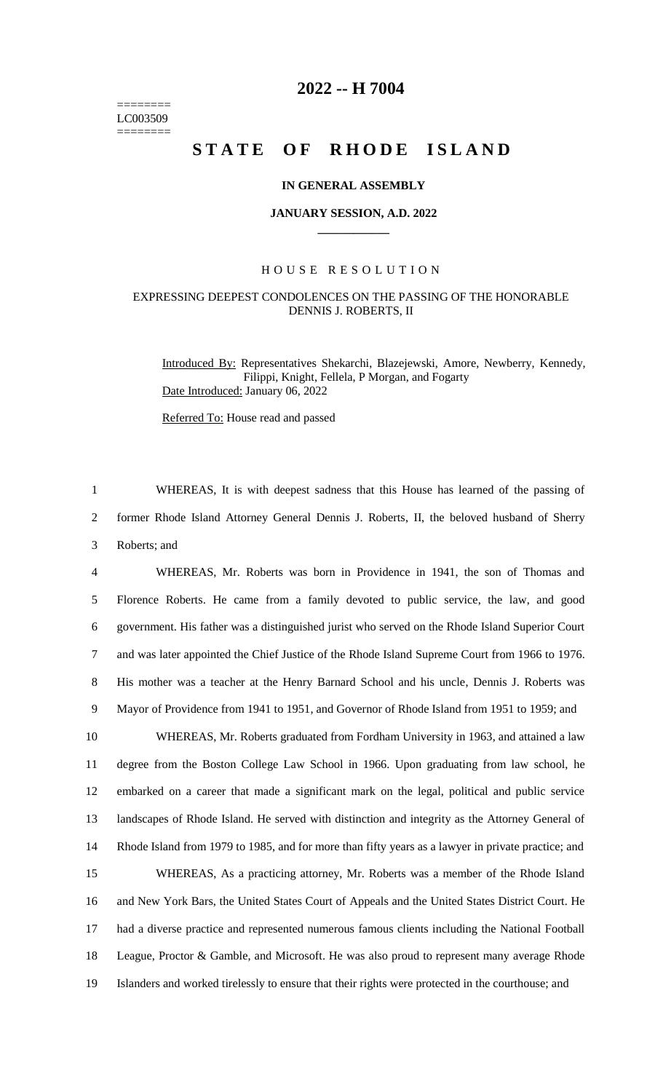======== LC003509 ========

# **2022 -- H 7004**

# **STATE OF RHODE ISLAND**

# **IN GENERAL ASSEMBLY**

#### **JANUARY SESSION, A.D. 2022 \_\_\_\_\_\_\_\_\_\_\_\_**

### H O U S E R E S O L U T I O N

# EXPRESSING DEEPEST CONDOLENCES ON THE PASSING OF THE HONORABLE DENNIS J. ROBERTS, II

Introduced By: Representatives Shekarchi, Blazejewski, Amore, Newberry, Kennedy, Filippi, Knight, Fellela, P Morgan, and Fogarty Date Introduced: January 06, 2022

Referred To: House read and passed

1 WHEREAS, It is with deepest sadness that this House has learned of the passing of 2 former Rhode Island Attorney General Dennis J. Roberts, II, the beloved husband of Sherry 3 Roberts; and

 WHEREAS, Mr. Roberts was born in Providence in 1941, the son of Thomas and Florence Roberts. He came from a family devoted to public service, the law, and good government. His father was a distinguished jurist who served on the Rhode Island Superior Court and was later appointed the Chief Justice of the Rhode Island Supreme Court from 1966 to 1976. His mother was a teacher at the Henry Barnard School and his uncle, Dennis J. Roberts was Mayor of Providence from 1941 to 1951, and Governor of Rhode Island from 1951 to 1959; and WHEREAS, Mr. Roberts graduated from Fordham University in 1963, and attained a law degree from the Boston College Law School in 1966. Upon graduating from law school, he embarked on a career that made a significant mark on the legal, political and public service landscapes of Rhode Island. He served with distinction and integrity as the Attorney General of Rhode Island from 1979 to 1985, and for more than fifty years as a lawyer in private practice; and WHEREAS, As a practicing attorney, Mr. Roberts was a member of the Rhode Island and New York Bars, the United States Court of Appeals and the United States District Court. He had a diverse practice and represented numerous famous clients including the National Football League, Proctor & Gamble, and Microsoft. He was also proud to represent many average Rhode Islanders and worked tirelessly to ensure that their rights were protected in the courthouse; and